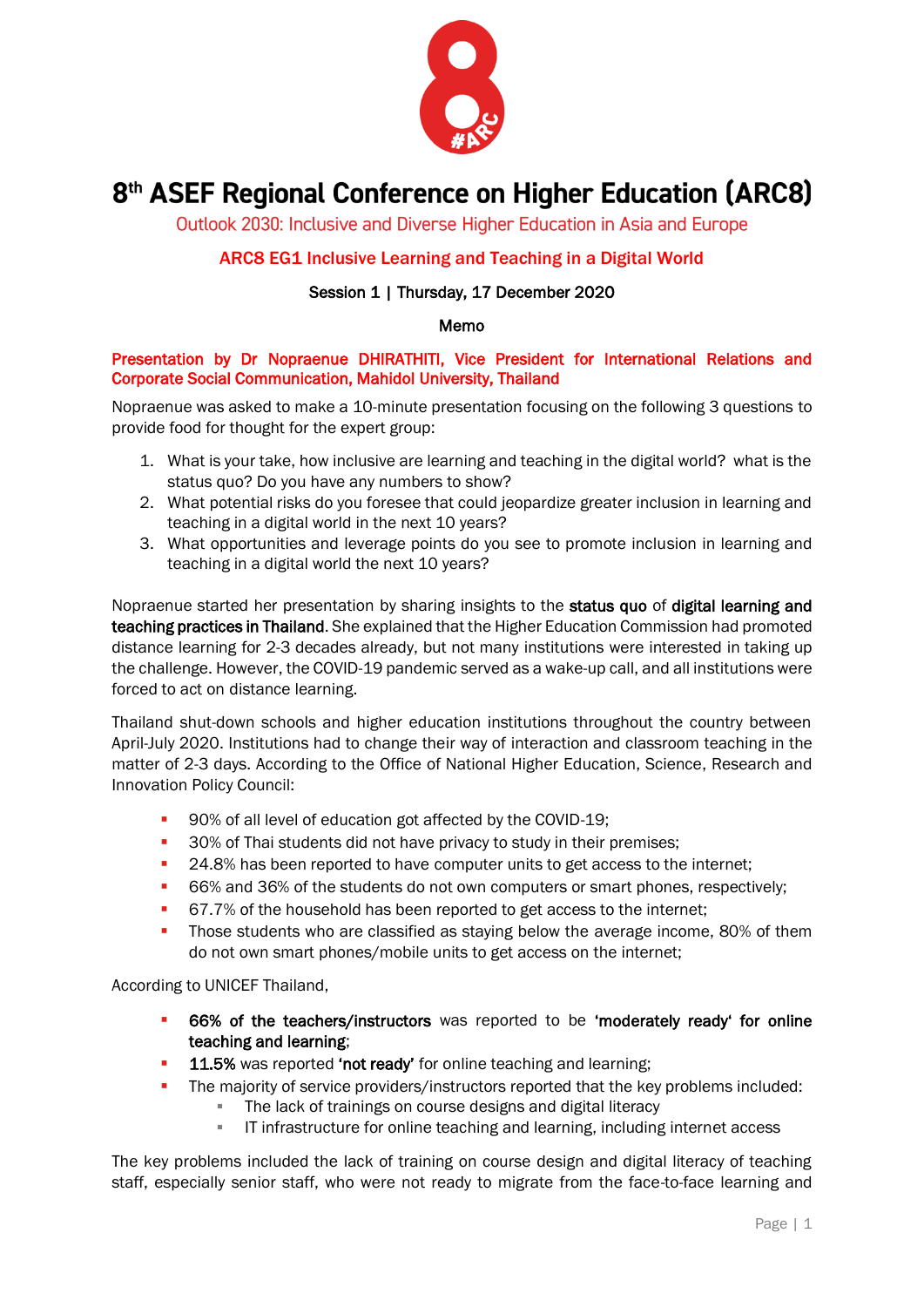

# 8<sup>th</sup> ASEF Regional Conference on Higher Education (ARC8)

Outlook 2030: Inclusive and Diverse Higher Education in Asia and Europe

## ARC8 EG1 Inclusive Learning and Teaching in a Digital World

#### Session 1 | Thursday, 17 December 2020

#### Memo

## Presentation by Dr Nopraenue DHIRATHITI, Vice President for International Relations and Corporate Social Communication, Mahidol University, Thailand

Nopraenue was asked to make a 10-minute presentation focusing on the following 3 questions to provide food for thought for the expert group:

- 1. What is your take, how inclusive are learning and teaching in the digital world? what is the status quo? Do you have any numbers to show?
- 2. What potential risks do you foresee that could jeopardize greater inclusion in learning and teaching in a digital world in the next 10 years?
- 3. What opportunities and leverage points do you see to promote inclusion in learning and teaching in a digital world the next 10 years?

Nopraenue started her presentation by sharing insights to the status quo of digital learning and teaching practices in Thailand. She explained that the Higher Education Commission had promoted distance learning for 2-3 decades already, but not many institutions were interested in taking up the challenge. However, the COVID-19 pandemic served as a wake-up call, and all institutions were forced to act on distance learning.

Thailand shut-down schools and higher education institutions throughout the country between April-July 2020. Institutions had to change their way of interaction and classroom teaching in the matter of 2-3 days. According to the Office of National Higher Education, Science, Research and Innovation Policy Council:

- 90% of all level of education got affected by the COVID-19;
- 30% of Thai students did not have privacy to study in their premises;
- 24.8% has been reported to have computer units to get access to the internet;
- 66% and 36% of the students do not own computers or smart phones, respectively;
- 67.7% of the household has been reported to get access to the internet;
- **•** Those students who are classified as staving below the average income, 80% of them do not own smart phones/mobile units to get access on the internet;

According to UNICEF Thailand,

- 66% of the teachers/instructors was reported to be 'moderately ready' for online teaching and learning;
- 11.5% was reported 'not ready' for online teaching and learning;
- **•** The majority of service providers/instructors reported that the key problems included:
	- The lack of trainings on course designs and digital literacy
	- IT infrastructure for online teaching and learning, including internet access

The key problems included the lack of training on course design and digital literacy of teaching staff, especially senior staff, who were not ready to migrate from the face-to-face learning and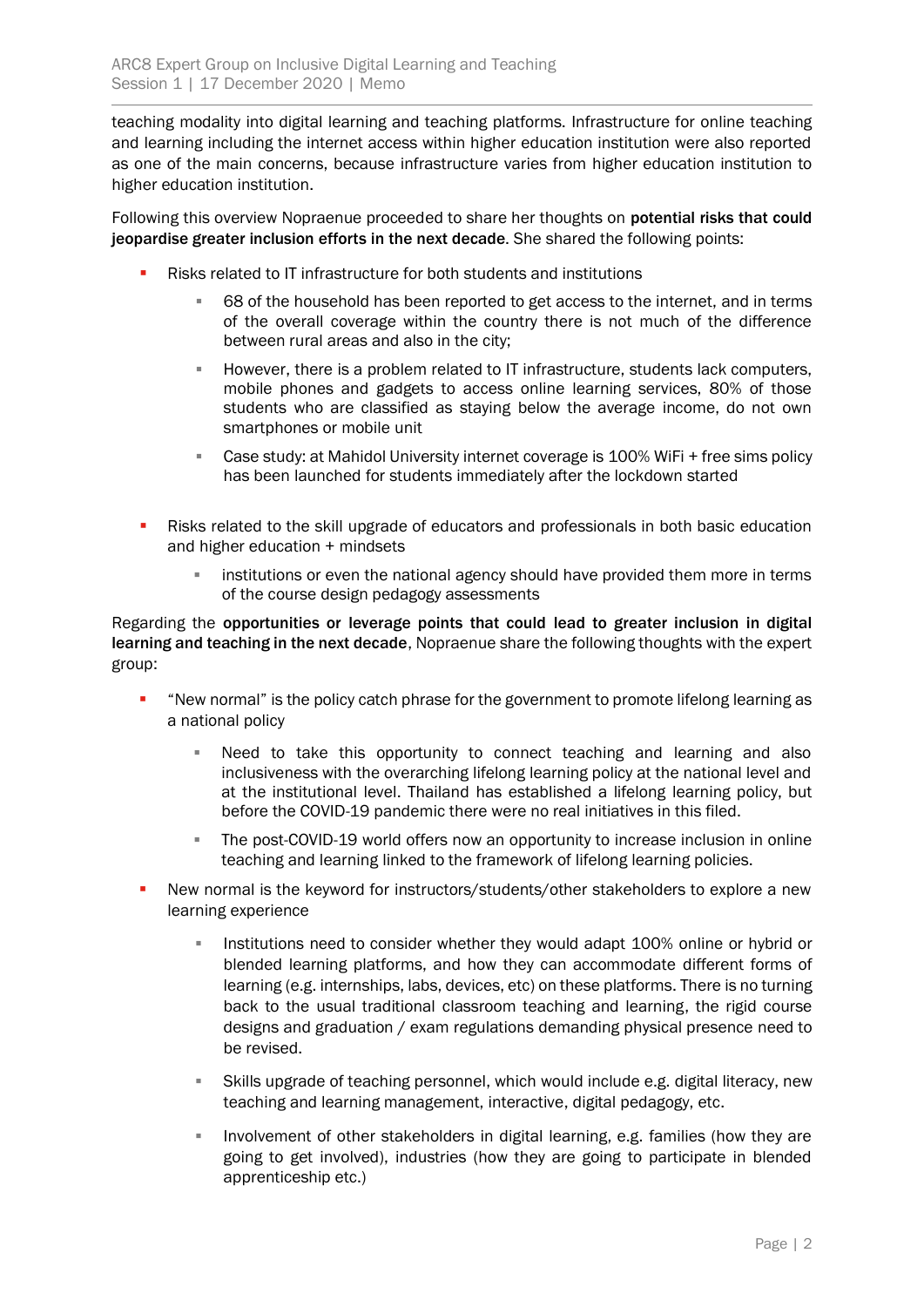teaching modality into digital learning and teaching platforms. Infrastructure for online teaching and learning including the internet access within higher education institution were also reported as one of the main concerns, because infrastructure varies from higher education institution to higher education institution.

Following this overview Nopraenue proceeded to share her thoughts on potential risks that could jeopardise greater inclusion efforts in the next decade. She shared the following points:

- Risks related to IT infrastructure for both students and institutions
	- 68 of the household has been reported to get access to the internet, and in terms of the overall coverage within the country there is not much of the difference between rural areas and also in the city;
	- However, there is a problem related to IT infrastructure, students lack computers, mobile phones and gadgets to access online learning services, 80% of those students who are classified as staying below the average income, do not own smartphones or mobile unit
	- Case study: at Mahidol University internet coverage is 100% WiFi + free sims policy has been launched for students immediately after the lockdown started
- Risks related to the skill upgrade of educators and professionals in both basic education and higher education + mindsets
	- institutions or even the national agency should have provided them more in terms of the course design pedagogy assessments

Regarding the opportunities or leverage points that could lead to greater inclusion in digital learning and teaching in the next decade, Nopraenue share the following thoughts with the expert group:

- **•** "New normal" is the policy catch phrase for the government to promote lifelong learning as a national policy
	- Need to take this opportunity to connect teaching and learning and also inclusiveness with the overarching lifelong learning policy at the national level and at the institutional level. Thailand has established a lifelong learning policy, but before the COVID-19 pandemic there were no real initiatives in this filed.
	- The post-COVID-19 world offers now an opportunity to increase inclusion in online teaching and learning linked to the framework of lifelong learning policies.
- New normal is the keyword for instructors/students/other stakeholders to explore a new learning experience
	- **EXECT** Institutions need to consider whether they would adapt 100% online or hybrid or blended learning platforms, and how they can accommodate different forms of learning (e.g. internships, labs, devices, etc) on these platforms. There is no turning back to the usual traditional classroom teaching and learning, the rigid course designs and graduation / exam regulations demanding physical presence need to be revised.
	- Skills upgrade of teaching personnel, which would include e.g. digital literacy, new teaching and learning management, interactive, digital pedagogy, etc.
	- Involvement of other stakeholders in digital learning, e.g. families (how they are going to get involved), industries (how they are going to participate in blended apprenticeship etc.)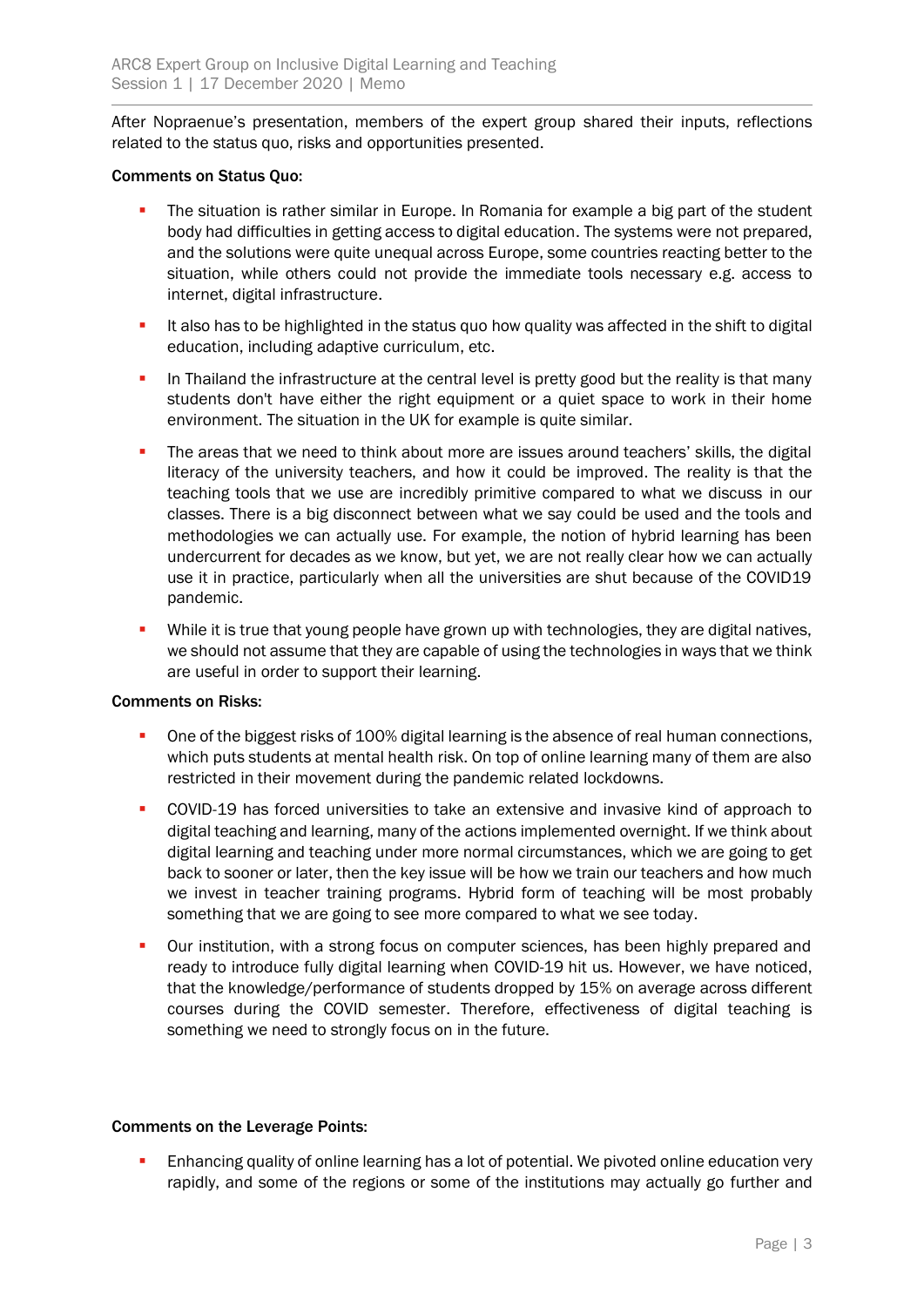After Nopraenue's presentation, members of the expert group shared their inputs, reflections related to the status quo, risks and opportunities presented.

#### Comments on Status Quo:

- **•** The situation is rather similar in Europe. In Romania for example a big part of the student body had difficulties in getting access to digital education. The systems were not prepared, and the solutions were quite unequal across Europe, some countries reacting better to the situation, while others could not provide the immediate tools necessary e.g. access to internet, digital infrastructure.
- **EXECT** It also has to be highlighted in the status quo how quality was affected in the shift to digital education, including adaptive curriculum, etc.
- **•** In Thailand the infrastructure at the central level is pretty good but the reality is that many students don't have either the right equipment or a quiet space to work in their home environment. The situation in the UK for example is quite similar.
- **•** The areas that we need to think about more are issues around teachers' skills, the digital literacy of the university teachers, and how it could be improved. The reality is that the teaching tools that we use are incredibly primitive compared to what we discuss in our classes. There is a big disconnect between what we say could be used and the tools and methodologies we can actually use. For example, the notion of hybrid learning has been undercurrent for decades as we know, but yet, we are not really clear how we can actually use it in practice, particularly when all the universities are shut because of the COVID19 pandemic.
- **•** While it is true that young people have grown up with technologies, they are digital natives, we should not assume that they are capable of using the technologies in ways that we think are useful in order to support their learning.

#### Comments on Risks:

- **•** One of the biggest risks of 100% digital learning is the absence of real human connections, which puts students at mental health risk. On top of online learning many of them are also restricted in their movement during the pandemic related lockdowns.
- COVID-19 has forced universities to take an extensive and invasive kind of approach to digital teaching and learning, many of the actions implemented overnight. If we think about digital learning and teaching under more normal circumstances, which we are going to get back to sooner or later, then the key issue will be how we train our teachers and how much we invest in teacher training programs. Hybrid form of teaching will be most probably something that we are going to see more compared to what we see today.
- **•** Our institution, with a strong focus on computer sciences, has been highly prepared and ready to introduce fully digital learning when COVID-19 hit us. However, we have noticed, that the knowledge/performance of students dropped by 15% on average across different courses during the COVID semester. Therefore, effectiveness of digital teaching is something we need to strongly focus on in the future.

## Comments on the Leverage Points:

**Enhancing quality of online learning has a lot of potential. We pivoted online education very** rapidly, and some of the regions or some of the institutions may actually go further and